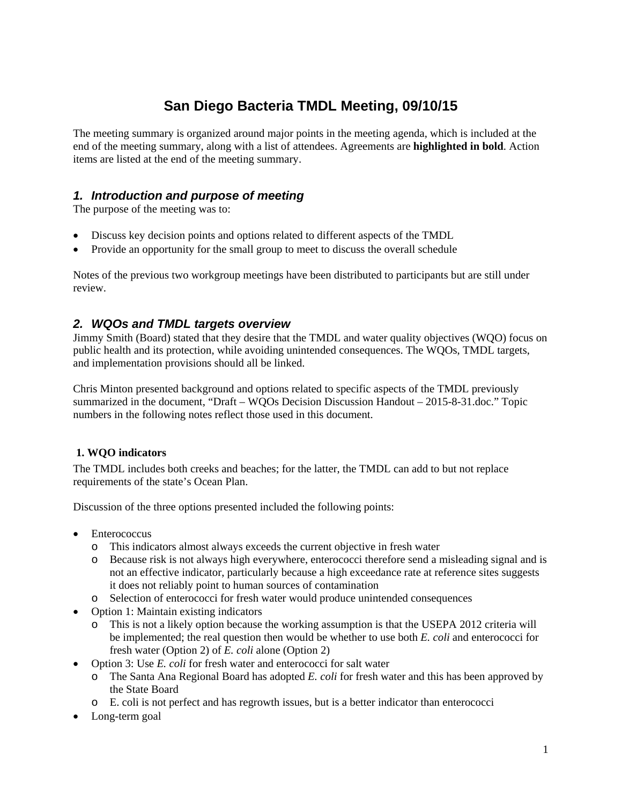# **San Diego Bacteria TMDL Meeting, 09/10/15**

The meeting summary is organized around major points in the meeting agenda, which is included at the end of the meeting summary, along with a list of attendees. Agreements are **highlighted in bold**. Action items are listed at the end of the meeting summary.

## *1. Introduction and purpose of meeting*

The purpose of the meeting was to:

- Discuss key decision points and options related to different aspects of the TMDL
- Provide an opportunity for the small group to meet to discuss the overall schedule

Notes of the previous two workgroup meetings have been distributed to participants but are still under review.

## *2. WQOs and TMDL targets overview*

Jimmy Smith (Board) stated that they desire that the TMDL and water quality objectives (WQO) focus on public health and its protection, while avoiding unintended consequences. The WQOs, TMDL targets, and implementation provisions should all be linked.

Chris Minton presented background and options related to specific aspects of the TMDL previously summarized in the document, "Draft – WQOs Decision Discussion Handout – 2015-8-31.doc." Topic numbers in the following notes reflect those used in this document.

## **1. WQO indicators**

The TMDL includes both creeks and beaches; for the latter, the TMDL can add to but not replace requirements of the state's Ocean Plan.

Discussion of the three options presented included the following points:

- **Enterococcus** 
	- o This indicators almost always exceeds the current objective in fresh water
	- o Because risk is not always high everywhere, enterococci therefore send a misleading signal and is not an effective indicator, particularly because a high exceedance rate at reference sites suggests it does not reliably point to human sources of contamination
	- o Selection of enterococci for fresh water would produce unintended consequences
- Option 1: Maintain existing indicators
	- o This is not a likely option because the working assumption is that the USEPA 2012 criteria will be implemented; the real question then would be whether to use both *E. coli* and enterococci for fresh water (Option 2) of *E. coli* alone (Option 2)
- Option 3: Use *E. coli* for fresh water and enterococci for salt water
	- o The Santa Ana Regional Board has adopted *E. coli* for fresh water and this has been approved by the State Board
	- o E. coli is not perfect and has regrowth issues, but is a better indicator than enterococci
- Long-term goal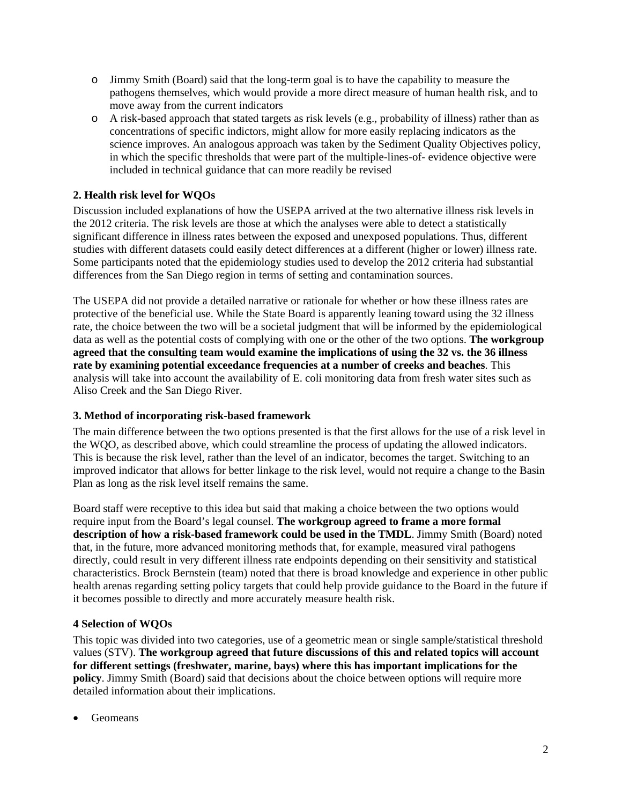- o Jimmy Smith (Board) said that the long-term goal is to have the capability to measure the pathogens themselves, which would provide a more direct measure of human health risk, and to move away from the current indicators
- o A risk-based approach that stated targets as risk levels (e.g., probability of illness) rather than as concentrations of specific indictors, might allow for more easily replacing indicators as the science improves. An analogous approach was taken by the Sediment Quality Objectives policy, in which the specific thresholds that were part of the multiple-lines-of- evidence objective were included in technical guidance that can more readily be revised

#### **2. Health risk level for WQOs**

Discussion included explanations of how the USEPA arrived at the two alternative illness risk levels in the 2012 criteria. The risk levels are those at which the analyses were able to detect a statistically significant difference in illness rates between the exposed and unexposed populations. Thus, different studies with different datasets could easily detect differences at a different (higher or lower) illness rate. Some participants noted that the epidemiology studies used to develop the 2012 criteria had substantial differences from the San Diego region in terms of setting and contamination sources.

The USEPA did not provide a detailed narrative or rationale for whether or how these illness rates are protective of the beneficial use. While the State Board is apparently leaning toward using the 32 illness rate, the choice between the two will be a societal judgment that will be informed by the epidemiological data as well as the potential costs of complying with one or the other of the two options. **The workgroup agreed that the consulting team would examine the implications of using the 32 vs. the 36 illness rate by examining potential exceedance frequencies at a number of creeks and beaches**. This analysis will take into account the availability of E. coli monitoring data from fresh water sites such as Aliso Creek and the San Diego River.

#### **3. Method of incorporating risk-based framework**

The main difference between the two options presented is that the first allows for the use of a risk level in the WQO, as described above, which could streamline the process of updating the allowed indicators. This is because the risk level, rather than the level of an indicator, becomes the target. Switching to an improved indicator that allows for better linkage to the risk level, would not require a change to the Basin Plan as long as the risk level itself remains the same.

Board staff were receptive to this idea but said that making a choice between the two options would require input from the Board's legal counsel. **The workgroup agreed to frame a more formal description of how a risk-based framework could be used in the TMDL**. Jimmy Smith (Board) noted that, in the future, more advanced monitoring methods that, for example, measured viral pathogens directly, could result in very different illness rate endpoints depending on their sensitivity and statistical characteristics. Brock Bernstein (team) noted that there is broad knowledge and experience in other public health arenas regarding setting policy targets that could help provide guidance to the Board in the future if it becomes possible to directly and more accurately measure health risk.

#### **4 Selection of WQOs**

This topic was divided into two categories, use of a geometric mean or single sample/statistical threshold values (STV). **The workgroup agreed that future discussions of this and related topics will account for different settings (freshwater, marine, bays) where this has important implications for the policy**. Jimmy Smith (Board) said that decisions about the choice between options will require more detailed information about their implications.

Geomeans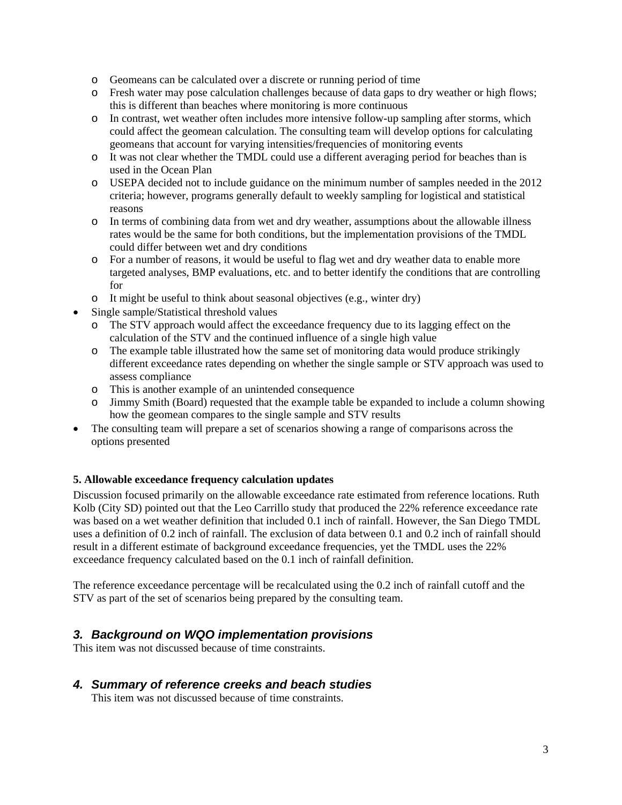- o Geomeans can be calculated over a discrete or running period of time
- o Fresh water may pose calculation challenges because of data gaps to dry weather or high flows; this is different than beaches where monitoring is more continuous
- o In contrast, wet weather often includes more intensive follow-up sampling after storms, which could affect the geomean calculation. The consulting team will develop options for calculating geomeans that account for varying intensities/frequencies of monitoring events
- o It was not clear whether the TMDL could use a different averaging period for beaches than is used in the Ocean Plan
- o USEPA decided not to include guidance on the minimum number of samples needed in the 2012 criteria; however, programs generally default to weekly sampling for logistical and statistical reasons
- o In terms of combining data from wet and dry weather, assumptions about the allowable illness rates would be the same for both conditions, but the implementation provisions of the TMDL could differ between wet and dry conditions
- o For a number of reasons, it would be useful to flag wet and dry weather data to enable more targeted analyses, BMP evaluations, etc. and to better identify the conditions that are controlling for
- o It might be useful to think about seasonal objectives (e.g., winter dry)
- Single sample/Statistical threshold values
	- o The STV approach would affect the exceedance frequency due to its lagging effect on the calculation of the STV and the continued influence of a single high value
	- o The example table illustrated how the same set of monitoring data would produce strikingly different exceedance rates depending on whether the single sample or STV approach was used to assess compliance
	- o This is another example of an unintended consequence
	- o Jimmy Smith (Board) requested that the example table be expanded to include a column showing how the geomean compares to the single sample and STV results
- The consulting team will prepare a set of scenarios showing a range of comparisons across the options presented

#### **5. Allowable exceedance frequency calculation updates**

Discussion focused primarily on the allowable exceedance rate estimated from reference locations. Ruth Kolb (City SD) pointed out that the Leo Carrillo study that produced the 22% reference exceedance rate was based on a wet weather definition that included 0.1 inch of rainfall. However, the San Diego TMDL uses a definition of 0.2 inch of rainfall. The exclusion of data between 0.1 and 0.2 inch of rainfall should result in a different estimate of background exceedance frequencies, yet the TMDL uses the 22% exceedance frequency calculated based on the 0.1 inch of rainfall definition.

The reference exceedance percentage will be recalculated using the 0.2 inch of rainfall cutoff and the STV as part of the set of scenarios being prepared by the consulting team.

#### *3. Background on WQO implementation provisions*

This item was not discussed because of time constraints.

#### *4. Summary of reference creeks and beach studies*

This item was not discussed because of time constraints.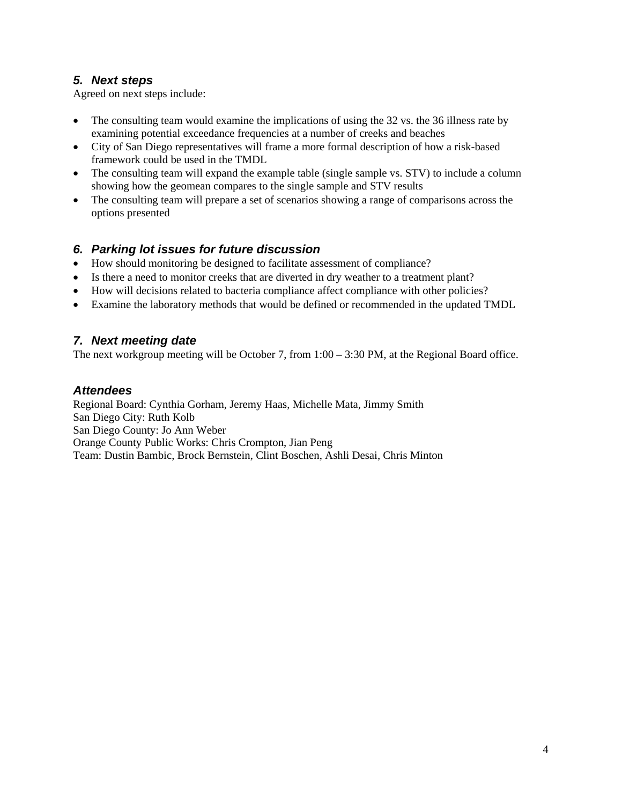## *5. Next steps*

Agreed on next steps include:

- The consulting team would examine the implications of using the 32 vs. the 36 illness rate by examining potential exceedance frequencies at a number of creeks and beaches
- City of San Diego representatives will frame a more formal description of how a risk-based framework could be used in the TMDL
- The consulting team will expand the example table (single sample vs. STV) to include a column showing how the geomean compares to the single sample and STV results
- The consulting team will prepare a set of scenarios showing a range of comparisons across the options presented

## *6. Parking lot issues for future discussion*

- How should monitoring be designed to facilitate assessment of compliance?
- Is there a need to monitor creeks that are diverted in dry weather to a treatment plant?
- How will decisions related to bacteria compliance affect compliance with other policies?
- Examine the laboratory methods that would be defined or recommended in the updated TMDL

## *7. Next meeting date*

The next workgroup meeting will be October 7, from 1:00 – 3:30 PM, at the Regional Board office.

### *Attendees*

Regional Board: Cynthia Gorham, Jeremy Haas, Michelle Mata, Jimmy Smith San Diego City: Ruth Kolb San Diego County: Jo Ann Weber Orange County Public Works: Chris Crompton, Jian Peng Team: Dustin Bambic, Brock Bernstein, Clint Boschen, Ashli Desai, Chris Minton